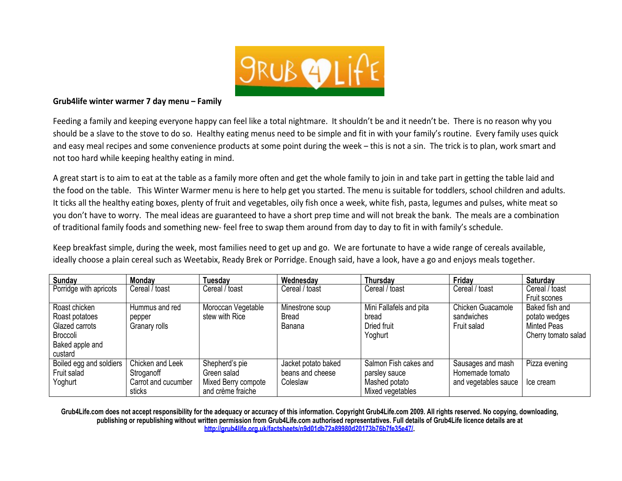

#### **Grub4life winter warmer 7 day menu – Family**

Feeding a family and keeping everyone happy can feel like a total nightmare. It shouldn't be and it needn't be. There is no reason why you should be a slave to the stove to do so. Healthy eating menus need to be simple and fit in with your family's routine. Every family uses quick and easy meal recipes and some convenience products at some point during the week – this is not a sin. The trick is to plan, work smart and not too hard while keeping healthy eating in mind.

A great start is to aim to eat at the table as a family more often and get the whole family to join in and take part in getting the table laid and the food on the table. This Winter Warmer menu is here to help get you started. The menu is suitable for toddlers, school children and adults. It ticks all the healthy eating boxes, plenty of fruit and vegetables, oily fish once a week, white fish, pasta, legumes and pulses, white meat so you don't have to worry. The meal ideas are guaranteed to have a short prep time and will not break the bank. The meals are a combination of traditional family foods and something new- feel free to swap them around from day to day to fit in with family's schedule.

Keep breakfast simple, during the week, most families need to get up and go. We are fortunate to have a wide range of cereals available, ideally choose a plain cereal such as Weetabix, Ready Brek or Porridge. Enough said, have a look, have a go and enjoys meals together.

| <b>Sunday</b>           | Monday              | <b>Tuesday</b>      | Wednesday           | Thursday                | Friday               | <b>Saturday</b>     |
|-------------------------|---------------------|---------------------|---------------------|-------------------------|----------------------|---------------------|
| Porridge with apricots  | Cereal / toast      | Cereal / toast      | Cereal / toast      | Cereal / toast          | Cereal / toast       | Cereal / toast      |
|                         |                     |                     |                     |                         |                      | Fruit scones        |
| Roast chicken           | Hummus and red      | Moroccan Vegetable  | Minestrone soup     | Mini Fallafels and pita | Chicken Guacamole    | Baked fish and      |
| Roast potatoes          | pepper              | stew with Rice      | <b>Bread</b>        | bread                   | sandwiches           | potato wedges       |
| Glazed carrots          | Granary rolls       |                     | Banana              | Dried fruit             | Fruit salad          | <b>Minted Peas</b>  |
| Broccoli                |                     |                     |                     | Yoghurt                 |                      | Cherry tomato salad |
| Baked apple and         |                     |                     |                     |                         |                      |                     |
| custard                 |                     |                     |                     |                         |                      |                     |
| Boiled egg and soldiers | Chicken and Leek    | Shepherd's pie      | Jacket potato baked | Salmon Fish cakes and   | Sausages and mash    | Pizza evening       |
| Fruit salad             | Stroganoff          | Green salad         | beans and cheese    | parsley sauce           | Homemade tomato      |                     |
| Yoghurt                 | Carrot and cucumber | Mixed Berry compote | Coleslaw            | Mashed potato           | and vegetables sauce | Ice cream           |
|                         | sticks              | and crème fraiche   |                     | Mixed vegetables        |                      |                     |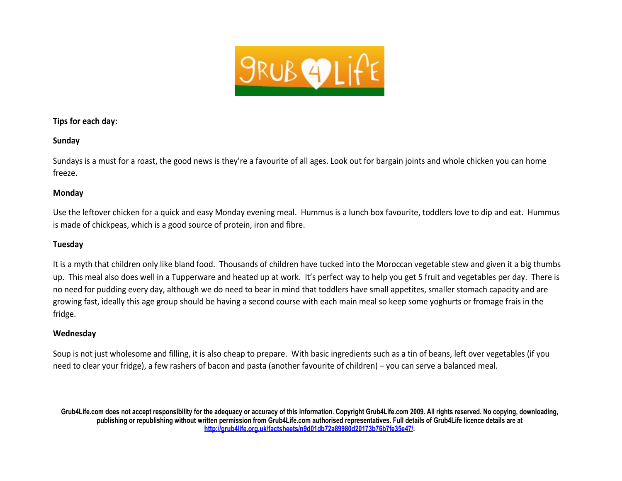

# **Tips for each day:**

# **Sunday**

Sundays is a must for a roast, the good news is they're a favourite of all ages. Look out for bargain joints and whole chicken you can home freeze.

# **Monday**

Use the leftover chicken for a quick and easy Monday evening meal. Hummus is a lunch box favourite, toddlers love to dip and eat. Hummus is made of chickpeas, which is a good source of protein, iron and fibre.

# **Tuesday**

It is a myth that children only like bland food. Thousands of children have tucked into the Moroccan vegetable stew and given it a big thumbs up. This meal also does well in a Tupperware and heated up at work. It's perfect way to help you get 5 fruit and vegetables per day. There is no need for pudding every day, although we do need to bear in mind that toddlers have small appetites, smaller stomach capacity and are growing fast, ideally this age group should be having a second course with each main meal so keep some yoghurts or fromage frais in the fridge.

# **Wednesday**

Soup is not just wholesome and filling, it is also cheap to prepare. With basic ingredients such as a tin of beans, left over vegetables (if you need to clear your fridge), a few rashers of bacon and pasta (another favourite of children) – you can serve a balanced meal.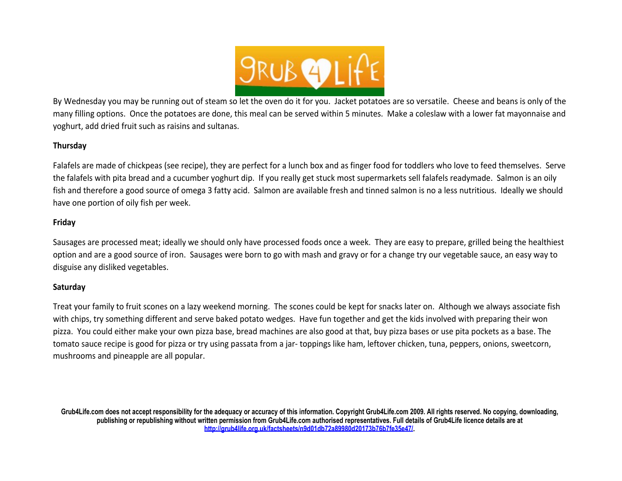

By Wednesday you may be running out of steam so let the oven do it for you. Jacket potatoes are so versatile. Cheese and beans is only of the many filling options. Once the potatoes are done, this meal can be served within 5 minutes. Make a coleslaw with a lower fat mayonnaise and yoghurt, add dried fruit such as raisins and sultanas.

### **Thursday**

Falafels are made of chickpeas (see recipe), they are perfect for a lunch box and as finger food for toddlers who love to feed themselves. Serve the falafels with pita bread and a cucumber yoghurt dip. If you really get stuck most supermarkets sell falafels readymade. Salmon is an oily fish and therefore a good source of omega 3 fatty acid. Salmon are available fresh and tinned salmon is no a less nutritious. Ideally we should have one portion of oily fish per week.

# **Friday**

Sausages are processed meat; ideally we should only have processed foods once a week. They are easy to prepare, grilled being the healthiest option and are a good source of iron. Sausages were born to go with mash and gravy or for a change try our vegetable sauce, an easy way to disguise any disliked vegetables.

### **Saturday**

Treat your family to fruit scones on a lazy weekend morning. The scones could be kept for snacks later on. Although we always associate fish with chips, try something different and serve baked potato wedges. Have fun together and get the kids involved with preparing their won pizza. You could either make your own pizza base, bread machines are also good at that, buy pizza bases or use pita pockets as a base. The tomato sauce recipe is good for pizza or try using passata from a jar- toppings like ham, leftover chicken, tuna, peppers, onions, sweetcorn, mushrooms and pineapple are all popular.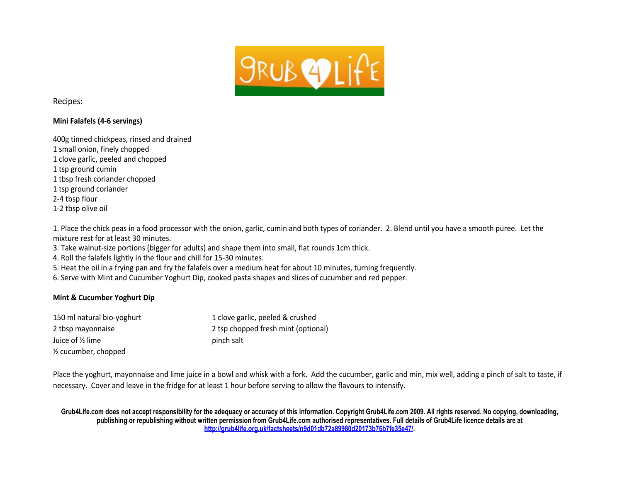

Recipes:

### **Mini Falafels (4-6 servings)**

| 400g tinned chickpeas, rinsed and drained |
|-------------------------------------------|
| 1 small onion, finely chopped             |
| 1 clove garlic, peeled and chopped        |
| 1 tsp ground cumin                        |
| 1 tbsp fresh coriander chopped            |
| 1 tsp ground coriander                    |
| 2-4 tbsp flour                            |
| 1-2 tbsp olive oil                        |
|                                           |

1. Place the chick peas in a food processor with the onion, garlic, cumin and both types of coriander. 2. Blend until you have a smooth puree. Let the mixture rest for at least 30 minutes.

3. Take walnut-size portions (bigger for adults) and shape them into small, flat rounds 1cm thick.

- 4. Roll the falafels lightly in the flour and chill for 15-30 minutes.
- 5. Heat the oil in a frying pan and fry the falafels over a medium heat for about 10 minutes, turning frequently.
- 6. Serve with Mint and Cucumber Yoghurt Dip, cooked pasta shapes and slices of cucumber and red pepper.

# **Mint & Cucumber Yoghurt Dip**

| 150 ml natural bio-yoghurt      | 1 clove garlic, peeled & crushed    |
|---------------------------------|-------------------------------------|
| 2 tbsp mayonnaise               | 2 tsp chopped fresh mint (optional) |
| Juice of 1/2 lime               | pinch salt                          |
| $\frac{1}{2}$ cucumber, chopped |                                     |

Place the yoghurt, mayonnaise and lime juice in a bowl and whisk with a fork. Add the cucumber, garlic and min, mix well, adding a pinch of salt to taste, if necessary. Cover and leave in the fridge for at least 1 hour before serving to allow the flavours to intensify.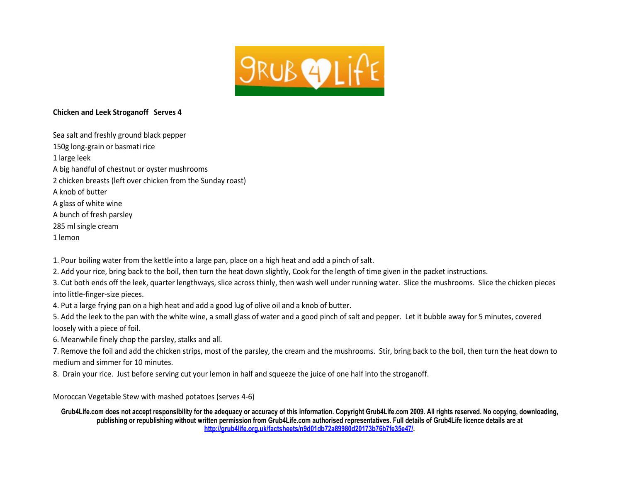

### **Chicken and Leek Stroganoff Serves 4**

Sea salt and freshly ground black pepper 150g long-grain or basmati rice 1 large leek A big handful of chestnut or oyster mushrooms 2 chicken breasts (left over chicken from the Sunday roast) A knob of butter A glass of white wine A bunch of fresh parsley 285 ml single cream 1 lemon

1. Pour boiling water from the kettle into a large pan, place on a high heat and add a pinch of salt.

2. Add your rice, bring back to the boil, then turn the heat down slightly, Cook for the length of time given in the packet instructions.

3. Cut both ends off the leek, quarter lengthways, slice across thinly, then wash well under running water. Slice the mushrooms. Slice the chicken pieces into little-finger-size pieces.

4. Put a large frying pan on a high heat and add a good lug of olive oil and a knob of butter.

5. Add the leek to the pan with the white wine, a small glass of water and a good pinch of salt and pepper. Let it bubble away for 5 minutes, covered loosely with a piece of foil.

6. Meanwhile finely chop the parsley, stalks and all.

7. Remove the foil and add the chicken strips, most of the parsley, the cream and the mushrooms. Stir, bring back to the boil, then turn the heat down to medium and simmer for 10 minutes.

8. Drain your rice. Just before serving cut your lemon in half and squeeze the juice of one half into the stroganoff.

Moroccan Vegetable Stew with mashed potatoes (serves 4-6)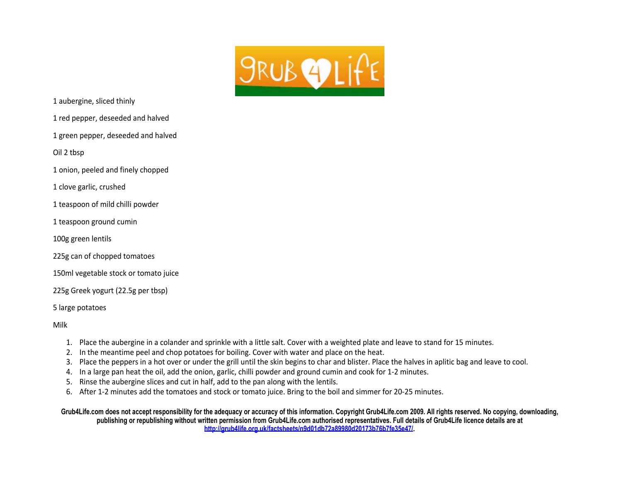

1 aubergine, sliced thinly

1 red pepper, deseeded and halved

1 green pepper, deseeded and halved

Oil 2 tbsp

1 onion, peeled and finely chopped

1 clove garlic, crushed

1 teaspoon of mild chilli powder

1 teaspoon ground cumin

100g green lentils

225g can of chopped tomatoes

150ml vegetable stock or tomato juice

225g Greek yogurt (22.5g per tbsp)

5 large potatoes

Milk

- 1. Place the aubergine in a colander and sprinkle with a little salt. Cover with a weighted plate and leave to stand for 15 minutes.
- 2. In the meantime peel and chop potatoes for boiling. Cover with water and place on the heat.
- 3. Place the peppers in a hot over or under the grill until the skin begins to char and blister. Place the halves in aplitic bag and leave to cool.
- 4. In a large pan heat the oil, add the onion, garlic, chilli powder and ground cumin and cook for 1-2 minutes.
- 5. Rinse the aubergine slices and cut in half, add to the pan along with the lentils.
- 6. After 1-2 minutes add the tomatoes and stock or tomato juice. Bring to the boil and simmer for 20-25 minutes.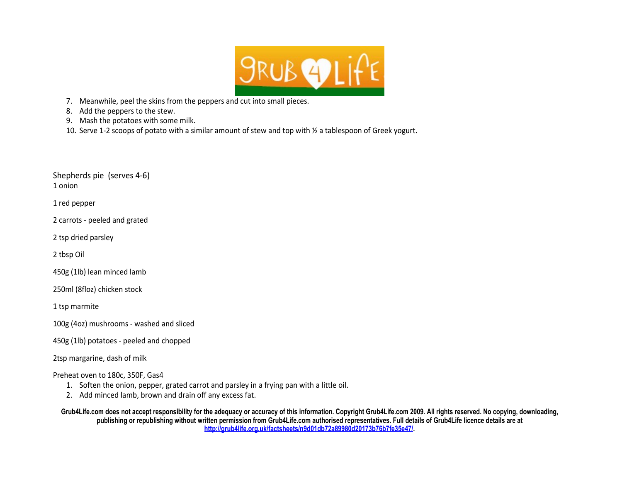

7. Meanwhile, peel the skins from the peppers and cut into small pieces.

8. Add the peppers to the stew.

- 9. Mash the potatoes with some milk.
- 10. Serve 1-2 scoops of potato with a similar amount of stew and top with ½ a tablespoon of Greek yogurt.

Shepherds pie (serves 4-6) 1 onion

1 red pepper

2 carrots - peeled and grated

2 tsp dried parsley

2 tbsp Oil

450g (1lb) lean minced lamb

250ml (8floz) chicken stock

1 tsp marmite

100g (4oz) mushrooms - washed and sliced

450g (1lb) potatoes - peeled and chopped

2tsp margarine, dash of milk

Preheat oven to 180c, 350F, Gas4

- 1. Soften the onion, pepper, grated carrot and parsley in a frying pan with a little oil.
- 2. Add minced lamb, brown and drain off any excess fat.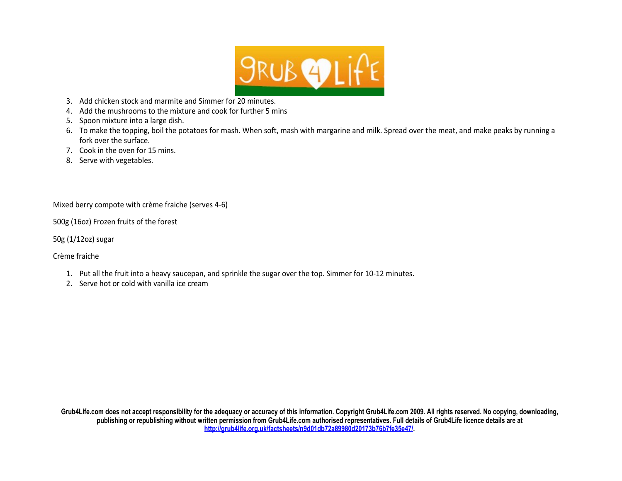

- 3. Add chicken stock and marmite and Simmer for 20 minutes.
- 4. Add the mushrooms to the mixture and cook for further 5 mins
- 5. Spoon mixture into a large dish.
- 6. To make the topping, boil the potatoes for mash. When soft, mash with margarine and milk. Spread over the meat, and make peaks by running a fork over the surface.
- 7. Cook in the oven for 15 mins.
- 8. Serve with vegetables.

Mixed berry compote with crème fraiche (serves 4-6)

500g (16oz) Frozen fruits of the forest

50g (1/12oz) sugar

Crème fraiche

- 1. Put all the fruit into a heavy saucepan, and sprinkle the sugar over the top. Simmer for 10-12 minutes.
- 2. Serve hot or cold with vanilla ice cream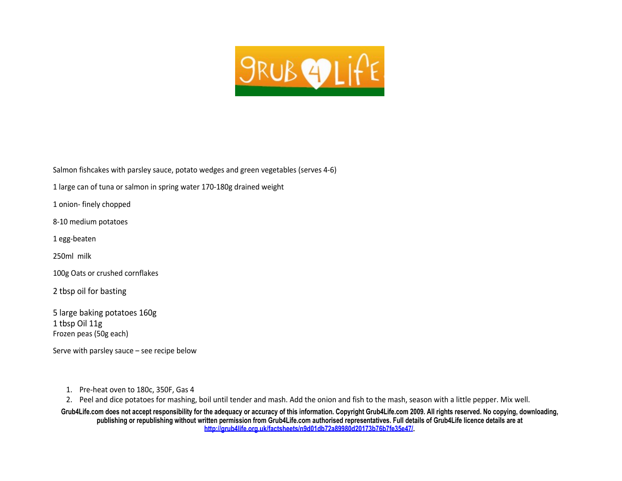

Salmon fishcakes with parsley sauce, potato wedges and green vegetables (serves 4-6)

1 large can of tuna or salmon in spring water 170-180g drained weight

1 onion- finely chopped

8-10 medium potatoes

1 egg-beaten

250ml milk

100g Oats or crushed cornflakes

2 tbsp oil for basting

5 large baking potatoes 160g 1 tbsp Oil 11g Frozen peas (50g each)

Serve with parsley sauce – see recipe below

1. Pre-heat oven to 180c, 350F, Gas 4

2. Peel and dice potatoes for mashing, boil until tender and mash. Add the onion and fish to the mash, season with a little pepper. Mix well.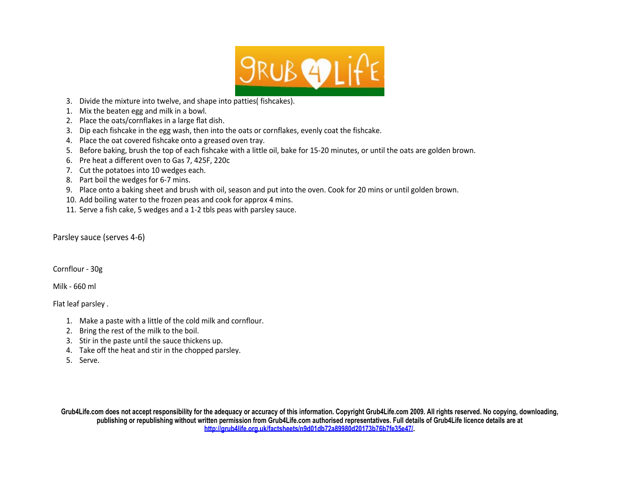

- 3. Divide the mixture into twelve, and shape into patties( fishcakes).
- 1. Mix the beaten egg and milk in a bowl.
- 2. Place the oats/cornflakes in a large flat dish.
- 3. Dip each fishcake in the egg wash, then into the oats or cornflakes, evenly coat the fishcake.
- 4. Place the oat covered fishcake onto a greased oven tray.
- 5. Before baking, brush the top of each fishcake with a little oil, bake for 15-20 minutes, or until the oats are golden brown.
- 6. Pre heat a different oven to Gas 7, 425F, 220c
- 7. Cut the potatoes into 10 wedges each.
- 8. Part boil the wedges for 6-7 mins.
- 9. Place onto a baking sheet and brush with oil, season and put into the oven. Cook for 20 mins or until golden brown.
- 10. Add boiling water to the frozen peas and cook for approx 4 mins.
- 11. Serve a fish cake, 5 wedges and a 1-2 tbls peas with parsley sauce.

Parsley sauce (serves 4-6)

Cornflour - 30g

Milk - 660 ml

Flat leaf parsley .

- 1. Make a paste with a little of the cold milk and cornflour.
- 2. Bring the rest of the milk to the boil.
- 3. Stir in the paste until the sauce thickens up.
- 4. Take off the heat and stir in the chopped parsley.
- 5. Serve.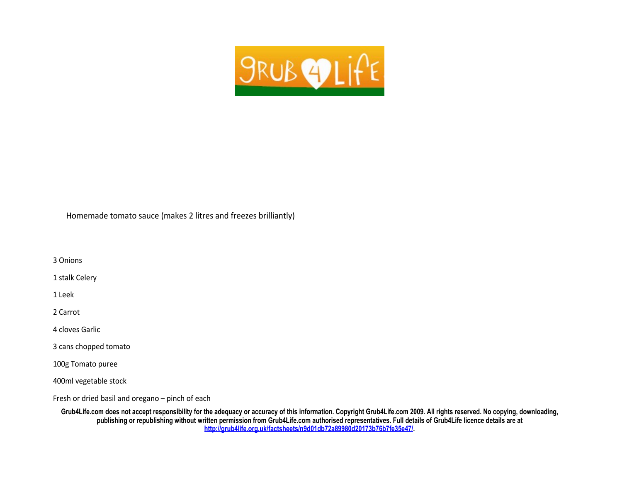

Homemade tomato sauce (makes 2 litres and freezes brilliantly)

3 Onions

1 stalk Celery

1 Leek

2 Carrot

4 cloves Garlic

3 cans chopped tomato

100g Tomato puree

400ml vegetable stock

Fresh or dried basil and oregano – pinch of each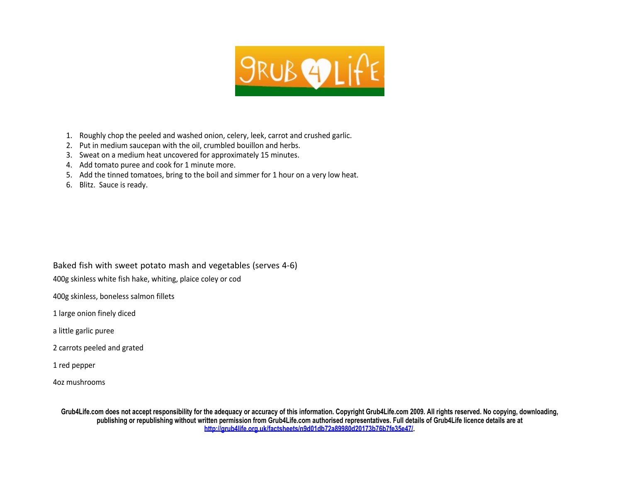

- 1. Roughly chop the peeled and washed onion, celery, leek, carrot and crushed garlic.
- 2. Put in medium saucepan with the oil, crumbled bouillon and herbs.
- 3. Sweat on a medium heat uncovered for approximately 15 minutes.
- 4. Add tomato puree and cook for 1 minute more.
- 5. Add the tinned tomatoes, bring to the boil and simmer for 1 hour on a very low heat.
- 6. Blitz. Sauce is ready.

Baked fish with sweet potato mash and vegetables (serves 4-6)

400g skinless white fish hake, whiting, plaice coley or cod

400g skinless, boneless salmon fillets

1 large onion finely diced

a little garlic puree

2 carrots peeled and grated

1 red pepper

4oz mushrooms